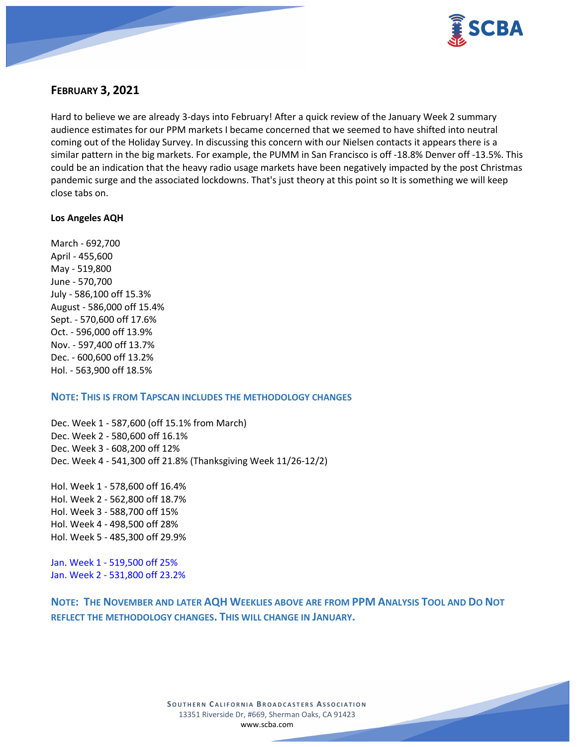

# **FEBRUARY 3, 2021**

Hard to believe we are already 3-days into February! After a quick review of the January Week 2 summary audience estimates for our PPM markets I became concerned that we seemed to have shifted into neutral coming out of the Holiday Survey. In discussing this concern with our Nielsen contacts it appears there is a similar pattern in the big markets. For example, the PUMM in San Francisco is off -18.8% Denver off -13.5%. This could be an indication that the heavy radio usage markets have been negatively impacted by the post Christmas pandemic surge and the associated lockdowns. That's just theory at this point so It is something we will keep close tabs on.

#### **Los Angeles AQH**

March - 692,700 April - 455,600 May - 519,800 June - 570,700 July - 586,100 off 15.3% August - 586,000 off 15.4% Sept. - 570,600 off 17.6% Oct. - 596,000 off 13.9% Nov. - 597,400 off 13.7% Dec. - 600,600 off 13.2% Hol. - 563,900 off 18.5%

#### **NOTE: THIS IS FROM TAPSCAN INCLUDES THE METHODOLOGY CHANGES**

Dec. Week 1 - 587,600 (off 15.1% from March) Dec. Week 2 - 580,600 off 16.1% Dec. Week 3 - 608,200 off 12% Dec. Week 4 - 541,300 off 21.8% (Thanksgiving Week 11/26-12/2)

Hol. Week 1 - 578,600 off 16.4% Hol. Week 2 - 562,800 off 18.7% Hol. Week 3 - 588,700 off 15% Hol. Week 4 - 498,500 off 28% Hol. Week 5 - 485,300 off 29.9%

Jan. Week 1 - 519,500 off 25% Jan. Week 2 - 531,800 off 23.2%

**NOTE: THE NOVEMBER AND LATER AQH WEEKLIES ABOVE ARE FROM PPM ANALYSIS TOOL AND DO NOT REFLECT THE METHODOLOGY CHANGES. THIS WILL CHANGE IN JANUARY.**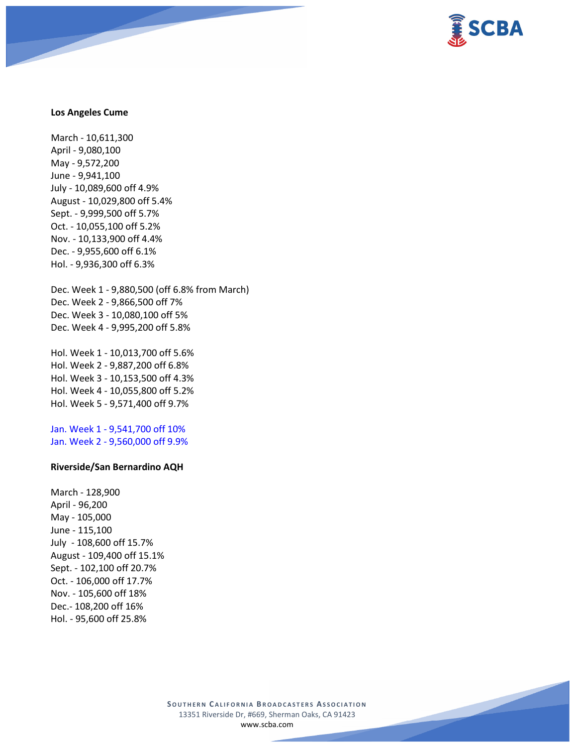

#### **Los Angeles Cume**

March - 10,611,300 April - 9,080,100 May - 9,572,200 June - 9,941,100 July - 10,089,600 off 4.9% August - 10,029,800 off 5.4% Sept. - 9,999,500 off 5.7% Oct. - 10,055,100 off 5.2% Nov. - 10,133,900 off 4.4% Dec. - 9,955,600 off 6.1% Hol. - 9,936,300 off 6.3%

Dec. Week 1 - 9,880,500 (off 6.8% from March) Dec. Week 2 - 9,866,500 off 7% Dec. Week 3 - 10,080,100 off 5% Dec. Week 4 - 9,995,200 off 5.8%

Hol. Week 1 - 10,013,700 off 5.6% Hol. Week 2 - 9,887,200 off 6.8% Hol. Week 3 - 10,153,500 off 4.3% Hol. Week 4 - 10,055,800 off 5.2% Hol. Week 5 - 9,571,400 off 9.7%

Jan. Week 1 - 9,541,700 off 10% Jan. Week 2 - 9,560,000 off 9.9%

#### **Riverside/San Bernardino AQH**

March - 128,900 April - 96,200 May - 105,000 June - 115,100 July - 108,600 off 15.7% August - 109,400 off 15.1% Sept. - 102,100 off 20.7% Oct. - 106,000 off 17.7% Nov. - 105,600 off 18% Dec.- 108,200 off 16% Hol. - 95,600 off 25.8%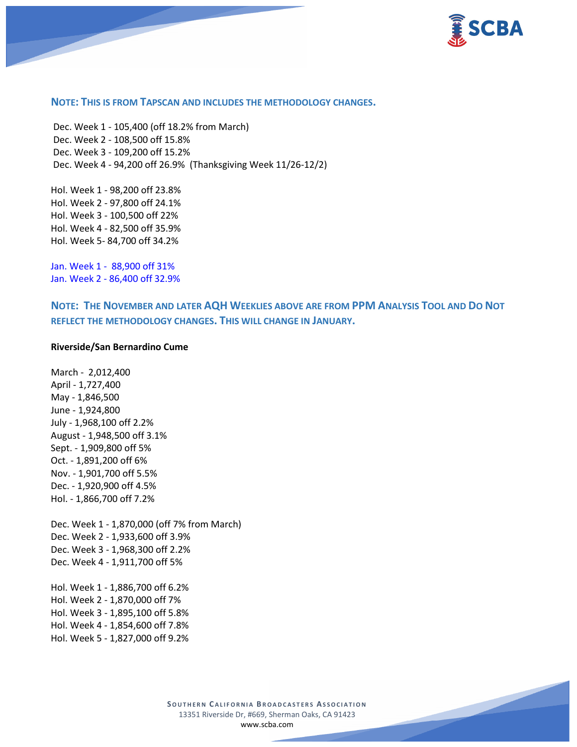

#### **NOTE: THIS IS FROM TAPSCAN AND INCLUDES THE METHODOLOGY CHANGES.**

Dec. Week 1 - 105,400 (off 18.2% from March) Dec. Week 2 - 108,500 off 15.8% Dec. Week 3 - 109,200 off 15.2% Dec. Week 4 - 94,200 off 26.9% (Thanksgiving Week 11/26-12/2)

Hol. Week 1 - 98,200 off 23.8% Hol. Week 2 - 97,800 off 24.1% Hol. Week 3 - 100,500 off 22% Hol. Week 4 - 82,500 off 35.9% Hol. Week 5- 84,700 off 34.2%

Jan. Week 1 - 88,900 off 31% Jan. Week 2 - 86,400 off 32.9%

**NOTE: THE NOVEMBER AND LATER AQH WEEKLIES ABOVE ARE FROM PPM ANALYSIS TOOL AND DO NOT REFLECT THE METHODOLOGY CHANGES. THIS WILL CHANGE IN JANUARY.**

#### **Riverside/San Bernardino Cume**

March - 2,012,400 April - 1,727,400 May - 1,846,500 June - 1,924,800 July - 1,968,100 off 2.2% August - 1,948,500 off 3.1% Sept. - 1,909,800 off 5% Oct. - 1,891,200 off 6% Nov. - 1,901,700 off 5.5% Dec. - 1,920,900 off 4.5% Hol. - 1,866,700 off 7.2%

Dec. Week 1 - 1,870,000 (off 7% from March) Dec. Week 2 - 1,933,600 off 3.9% Dec. Week 3 - 1,968,300 off 2.2% Dec. Week 4 - 1,911,700 off 5%

Hol. Week 1 - 1,886,700 off 6.2% Hol. Week 2 - 1,870,000 off 7% Hol. Week 3 - 1,895,100 off 5.8% Hol. Week 4 - 1,854,600 off 7.8% Hol. Week 5 - 1,827,000 off 9.2%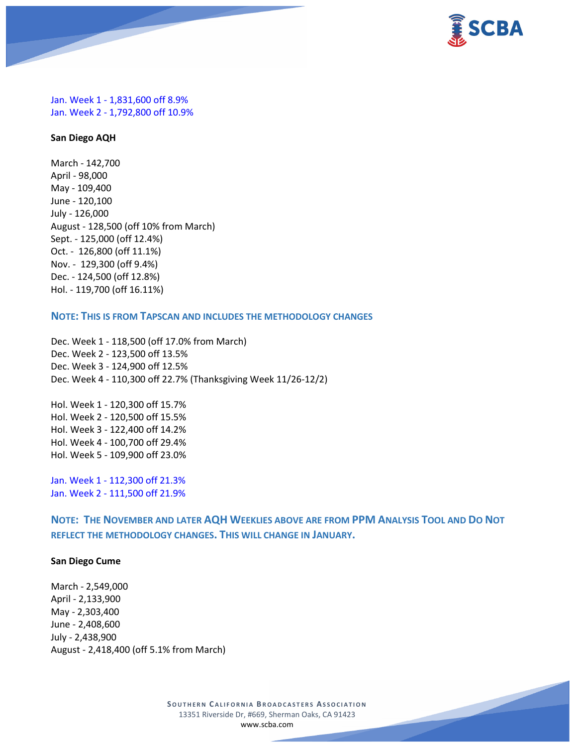

Jan. Week 1 - 1,831,600 off 8.9% Jan. Week 2 - 1,792,800 off 10.9%

#### **San Diego AQH**

March - 142,700 April - 98,000 May - 109,400 June - 120,100 July - 126,000 August - 128,500 (off 10% from March) Sept. - 125,000 (off 12.4%) Oct. - 126,800 (off 11.1%) Nov. - 129,300 (off 9.4%) Dec. - 124,500 (off 12.8%) Hol. - 119,700 (off 16.11%)

# **NOTE: THIS IS FROM TAPSCAN AND INCLUDES THE METHODOLOGY CHANGES**

Dec. Week 1 - 118,500 (off 17.0% from March) Dec. Week 2 - 123,500 off 13.5% Dec. Week 3 - 124,900 off 12.5% Dec. Week 4 - 110,300 off 22.7% (Thanksgiving Week 11/26-12/2)

Hol. Week 1 - 120,300 off 15.7% Hol. Week 2 - 120,500 off 15.5% Hol. Week 3 - 122,400 off 14.2% Hol. Week 4 - 100,700 off 29.4% Hol. Week 5 - 109,900 off 23.0%

Jan. Week 1 - 112,300 off 21.3% Jan. Week 2 - 111,500 off 21.9%

**NOTE: THE NOVEMBER AND LATER AQH WEEKLIES ABOVE ARE FROM PPM ANALYSIS TOOL AND DO NOT REFLECT THE METHODOLOGY CHANGES. THIS WILL CHANGE IN JANUARY.**

#### **San Diego Cume**

March - 2,549,000 April - 2,133,900 May - 2,303,400 June - 2,408,600 July - 2,438,900 August - 2,418,400 (off 5.1% from March)

> **SOUTHERN C ALIFORNIA B ROADCASTERS ASSOCIATION** 13351 Riverside Dr, #669, Sherman Oaks, CA 91423 [www.scba.com](http://www.scba.com/)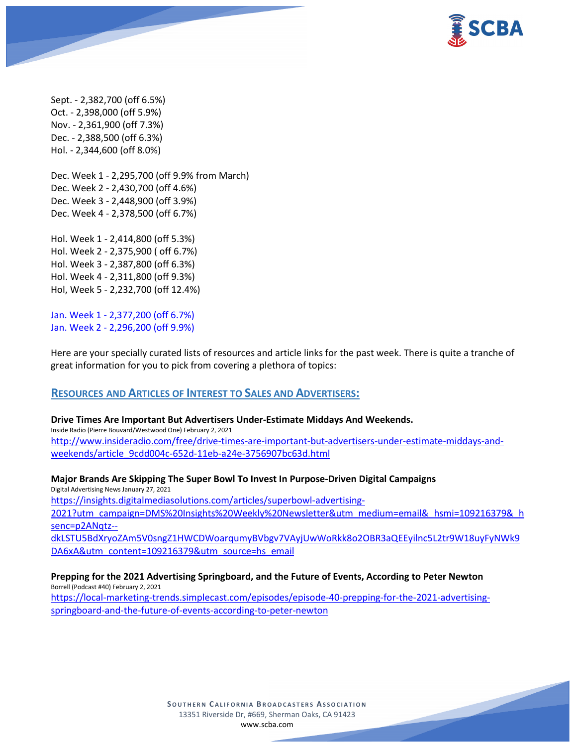

Sept. - 2,382,700 (off 6.5%) Oct. - 2,398,000 (off 5.9%) Nov. - 2,361,900 (off 7.3%) Dec. - 2,388,500 (off 6.3%) Hol. - 2,344,600 (off 8.0%)

Dec. Week 1 - 2,295,700 (off 9.9% from March) Dec. Week 2 - 2,430,700 (off 4.6%) Dec. Week 3 - 2,448,900 (off 3.9%) Dec. Week 4 - 2,378,500 (off 6.7%)

Hol. Week 1 - 2,414,800 (off 5.3%) Hol. Week 2 - 2,375,900 ( off 6.7%) Hol. Week 3 - 2,387,800 (off 6.3%) Hol. Week 4 - 2,311,800 (off 9.3%) Hol, Week 5 - 2,232,700 (off 12.4%)

Jan. Week 1 - 2,377,200 (off 6.7%) Jan. Week 2 - 2,296,200 (off 9.9%)

Here are your specially curated lists of resources and article links for the past week. There is quite a tranche of great information for you to pick from covering a plethora of topics:

# **RESOURCES AND ARTICLES OF INTEREST TO SALES AND ADVERTISERS:**

**Drive Times Are Important But Advertisers Under-Estimate Middays And Weekends.**

Inside Radio (Pierre Bouvard/Westwood One) February 2, 2021 [http://www.insideradio.com/free/drive-times-are-important-but-advertisers-under-estimate-middays-and](http://www.insideradio.com/free/drive-times-are-important-but-advertisers-under-estimate-middays-and-weekends/article_9cdd004c-652d-11eb-a24e-3756907bc63d.html)[weekends/article\\_9cdd004c-652d-11eb-a24e-3756907bc63d.html](http://www.insideradio.com/free/drive-times-are-important-but-advertisers-under-estimate-middays-and-weekends/article_9cdd004c-652d-11eb-a24e-3756907bc63d.html)

**Major Brands Are Skipping The Super Bowl To Invest In Purpose-Driven Digital Campaigns** Digital Advertising News January 27, 2021 [https://insights.digitalmediasolutions.com/articles/superbowl-advertising-](https://insights.digitalmediasolutions.com/articles/superbowl-advertising-2021?utm_campaign=DMS%20Insights%20Weekly%20Newsletter&utm_medium=email&_hsmi=109216379&_hsenc=p2ANqtz--dkLSTU5BdXryoZAm5V0sngZ1HWCDWoarqumyBVbgv7VAyjUwWoRkk8o2OBR3aQEEyilnc5L2tr9W18uyFyNWk9DA6xA&utm_content=109216379&utm_source=hs_email)[2021?utm\\_campaign=DMS%20Insights%20Weekly%20Newsletter&utm\\_medium=email&\\_hsmi=109216379&\\_h](https://insights.digitalmediasolutions.com/articles/superbowl-advertising-2021?utm_campaign=DMS%20Insights%20Weekly%20Newsletter&utm_medium=email&_hsmi=109216379&_hsenc=p2ANqtz--dkLSTU5BdXryoZAm5V0sngZ1HWCDWoarqumyBVbgv7VAyjUwWoRkk8o2OBR3aQEEyilnc5L2tr9W18uyFyNWk9DA6xA&utm_content=109216379&utm_source=hs_email) [senc=p2ANqtz-](https://insights.digitalmediasolutions.com/articles/superbowl-advertising-2021?utm_campaign=DMS%20Insights%20Weekly%20Newsletter&utm_medium=email&_hsmi=109216379&_hsenc=p2ANqtz--dkLSTU5BdXryoZAm5V0sngZ1HWCDWoarqumyBVbgv7VAyjUwWoRkk8o2OBR3aQEEyilnc5L2tr9W18uyFyNWk9DA6xA&utm_content=109216379&utm_source=hs_email) [dkLSTU5BdXryoZAm5V0sngZ1HWCDWoarqumyBVbgv7VAyjUwWoRkk8o2OBR3aQEEyilnc5L2tr9W18uyFyNWk9](https://insights.digitalmediasolutions.com/articles/superbowl-advertising-2021?utm_campaign=DMS%20Insights%20Weekly%20Newsletter&utm_medium=email&_hsmi=109216379&_hsenc=p2ANqtz--dkLSTU5BdXryoZAm5V0sngZ1HWCDWoarqumyBVbgv7VAyjUwWoRkk8o2OBR3aQEEyilnc5L2tr9W18uyFyNWk9DA6xA&utm_content=109216379&utm_source=hs_email) [DA6xA&utm\\_content=109216379&utm\\_source=hs\\_email](https://insights.digitalmediasolutions.com/articles/superbowl-advertising-2021?utm_campaign=DMS%20Insights%20Weekly%20Newsletter&utm_medium=email&_hsmi=109216379&_hsenc=p2ANqtz--dkLSTU5BdXryoZAm5V0sngZ1HWCDWoarqumyBVbgv7VAyjUwWoRkk8o2OBR3aQEEyilnc5L2tr9W18uyFyNWk9DA6xA&utm_content=109216379&utm_source=hs_email)

**Prepping for the 2021 Advertising Springboard, and the Future of Events, According to Peter Newton** Borrell (Podcast #40) February 2, 2021 [https://local-marketing-trends.simplecast.com/episodes/episode-40-prepping-for-the-2021-advertising-](https://local-marketing-trends.simplecast.com/episodes/episode-40-prepping-for-the-2021-advertising-springboard-and-the-future-of-events-according-to-peter-newton)

[springboard-and-the-future-of-events-according-to-peter-newton](https://local-marketing-trends.simplecast.com/episodes/episode-40-prepping-for-the-2021-advertising-springboard-and-the-future-of-events-according-to-peter-newton)

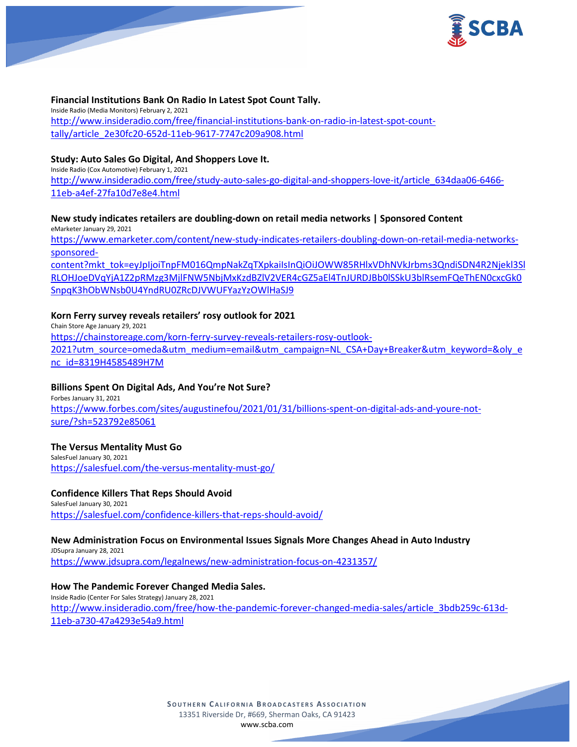

#### **Financial Institutions Bank On Radio In Latest Spot Count Tally.**

Inside Radio (Media Monitors) February 2, 2021 [http://www.insideradio.com/free/financial-institutions-bank-on-radio-in-latest-spot-count](http://www.insideradio.com/free/financial-institutions-bank-on-radio-in-latest-spot-count-tally/article_2e30fc20-652d-11eb-9617-7747c209a908.html)[tally/article\\_2e30fc20-652d-11eb-9617-7747c209a908.html](http://www.insideradio.com/free/financial-institutions-bank-on-radio-in-latest-spot-count-tally/article_2e30fc20-652d-11eb-9617-7747c209a908.html)

# **Study: Auto Sales Go Digital, And Shoppers Love It.**

Inside Radio (Cox Automotive) February 1, 2021 [http://www.insideradio.com/free/study-auto-sales-go-digital-and-shoppers-love-it/article\\_634daa06-6466-](http://www.insideradio.com/free/study-auto-sales-go-digital-and-shoppers-love-it/article_634daa06-6466-11eb-a4ef-27fa10d7e8e4.html) [11eb-a4ef-27fa10d7e8e4.html](http://www.insideradio.com/free/study-auto-sales-go-digital-and-shoppers-love-it/article_634daa06-6466-11eb-a4ef-27fa10d7e8e4.html)

#### **New study indicates retailers are doubling-down on retail media networks | Sponsored Content** eMarketer January 29, 2021

[https://www.emarketer.com/content/new-study-indicates-retailers-doubling-down-on-retail-media-networks](https://www.emarketer.com/content/new-study-indicates-retailers-doubling-down-on-retail-media-networks-sponsored-content?mkt_tok=eyJpIjoiTnpFM016QmpNakZqTXpkaiIsInQiOiJOWW85RHlxVDhNVkJrbms3QndiSDN4R2Njekl3SlRLOHJoeDVqYjA1Z2pRMzg3MjlFNW5NbjMxKzdBZlV2VER4cGZ5aEl4TnJURDJBb0lSSkU3blRsemFQeThEN0cxcGk0SnpqK3hObWNsb0U4YndRU0ZRcDJVWUFYazYzOWlHaSJ9)[sponsored-](https://www.emarketer.com/content/new-study-indicates-retailers-doubling-down-on-retail-media-networks-sponsored-content?mkt_tok=eyJpIjoiTnpFM016QmpNakZqTXpkaiIsInQiOiJOWW85RHlxVDhNVkJrbms3QndiSDN4R2Njekl3SlRLOHJoeDVqYjA1Z2pRMzg3MjlFNW5NbjMxKzdBZlV2VER4cGZ5aEl4TnJURDJBb0lSSkU3blRsemFQeThEN0cxcGk0SnpqK3hObWNsb0U4YndRU0ZRcDJVWUFYazYzOWlHaSJ9)

[content?mkt\\_tok=eyJpIjoiTnpFM016QmpNakZqTXpkaiIsInQiOiJOWW85RHlxVDhNVkJrbms3QndiSDN4R2Njekl3Sl](https://www.emarketer.com/content/new-study-indicates-retailers-doubling-down-on-retail-media-networks-sponsored-content?mkt_tok=eyJpIjoiTnpFM016QmpNakZqTXpkaiIsInQiOiJOWW85RHlxVDhNVkJrbms3QndiSDN4R2Njekl3SlRLOHJoeDVqYjA1Z2pRMzg3MjlFNW5NbjMxKzdBZlV2VER4cGZ5aEl4TnJURDJBb0lSSkU3blRsemFQeThEN0cxcGk0SnpqK3hObWNsb0U4YndRU0ZRcDJVWUFYazYzOWlHaSJ9) [RLOHJoeDVqYjA1Z2pRMzg3MjlFNW5NbjMxKzdBZlV2VER4cGZ5aEl4TnJURDJBb0lSSkU3blRsemFQeThEN0cxcGk0](https://www.emarketer.com/content/new-study-indicates-retailers-doubling-down-on-retail-media-networks-sponsored-content?mkt_tok=eyJpIjoiTnpFM016QmpNakZqTXpkaiIsInQiOiJOWW85RHlxVDhNVkJrbms3QndiSDN4R2Njekl3SlRLOHJoeDVqYjA1Z2pRMzg3MjlFNW5NbjMxKzdBZlV2VER4cGZ5aEl4TnJURDJBb0lSSkU3blRsemFQeThEN0cxcGk0SnpqK3hObWNsb0U4YndRU0ZRcDJVWUFYazYzOWlHaSJ9) [SnpqK3hObWNsb0U4YndRU0ZRcDJVWUFYazYzOWlHaSJ9](https://www.emarketer.com/content/new-study-indicates-retailers-doubling-down-on-retail-media-networks-sponsored-content?mkt_tok=eyJpIjoiTnpFM016QmpNakZqTXpkaiIsInQiOiJOWW85RHlxVDhNVkJrbms3QndiSDN4R2Njekl3SlRLOHJoeDVqYjA1Z2pRMzg3MjlFNW5NbjMxKzdBZlV2VER4cGZ5aEl4TnJURDJBb0lSSkU3blRsemFQeThEN0cxcGk0SnpqK3hObWNsb0U4YndRU0ZRcDJVWUFYazYzOWlHaSJ9)

# **Korn Ferry survey reveals retailers' rosy outlook for 2021**

Chain Store Age January 29, 2021 [https://chainstoreage.com/korn-ferry-survey-reveals-retailers-rosy-outlook-](https://chainstoreage.com/korn-ferry-survey-reveals-retailers-rosy-outlook-2021?utm_source=omeda&utm_medium=email&utm_campaign=NL_CSA+Day+Breaker&utm_keyword=&oly_enc_id=8319H4585489H7M)[2021?utm\\_source=omeda&utm\\_medium=email&utm\\_campaign=NL\\_CSA+Day+Breaker&utm\\_keyword=&oly\\_e](https://chainstoreage.com/korn-ferry-survey-reveals-retailers-rosy-outlook-2021?utm_source=omeda&utm_medium=email&utm_campaign=NL_CSA+Day+Breaker&utm_keyword=&oly_enc_id=8319H4585489H7M) [nc\\_id=8319H4585489H7M](https://chainstoreage.com/korn-ferry-survey-reveals-retailers-rosy-outlook-2021?utm_source=omeda&utm_medium=email&utm_campaign=NL_CSA+Day+Breaker&utm_keyword=&oly_enc_id=8319H4585489H7M)

# **Billions Spent On Digital Ads, And You're Not Sure?**

Forbes January 31, 2021 [https://www.forbes.com/sites/augustinefou/2021/01/31/billions-spent-on-digital-ads-and-youre-not](https://www.forbes.com/sites/augustinefou/2021/01/31/billions-spent-on-digital-ads-and-youre-not-sure/?sh=523792e85061)[sure/?sh=523792e85061](https://www.forbes.com/sites/augustinefou/2021/01/31/billions-spent-on-digital-ads-and-youre-not-sure/?sh=523792e85061)

# **The Versus Mentality Must Go**

SalesFuel January 30, 2021 <https://salesfuel.com/the-versus-mentality-must-go/>

# **Confidence Killers That Reps Should Avoid**

SalesFuel January 30, 2021 <https://salesfuel.com/confidence-killers-that-reps-should-avoid/>

# **New Administration Focus on Environmental Issues Signals More Changes Ahead in Auto Industry**

JDSupra January 28, 2021 <https://www.jdsupra.com/legalnews/new-administration-focus-on-4231357/>

# **How The Pandemic Forever Changed Media Sales.**

Inside Radio (Center For Sales Strategy) January 28, 2021 [http://www.insideradio.com/free/how-the-pandemic-forever-changed-media-sales/article\\_3bdb259c-613d-](http://www.insideradio.com/free/how-the-pandemic-forever-changed-media-sales/article_3bdb259c-613d-11eb-a730-47a4293e54a9.html)[11eb-a730-47a4293e54a9.html](http://www.insideradio.com/free/how-the-pandemic-forever-changed-media-sales/article_3bdb259c-613d-11eb-a730-47a4293e54a9.html)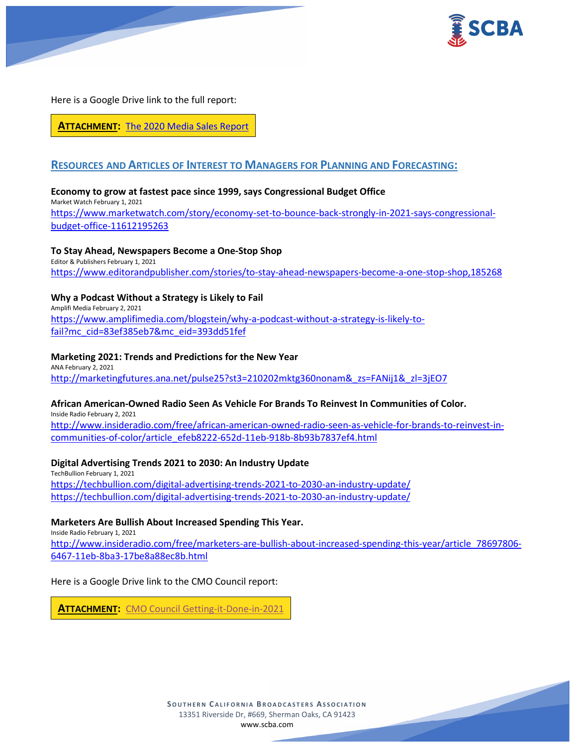

Here is a Google Drive link to the full report:

**ATTACHMENT:** [The 2020 Media Sales Report](https://scba.com/the-2020-media-sales-report/)

# **RESOURCES AND ARTICLES OF INTEREST TO MANAGERS FOR PLANNING AND FORECASTING:**

# **Economy to grow at fastest pace since 1999, says Congressional Budget Office**

Market Watch February 1, 2021 [https://www.marketwatch.com/story/economy-set-to-bounce-back-strongly-in-2021-says-congressional](https://www.marketwatch.com/story/economy-set-to-bounce-back-strongly-in-2021-says-congressional-budget-office-11612195263)[budget-office-11612195263](https://www.marketwatch.com/story/economy-set-to-bounce-back-strongly-in-2021-says-congressional-budget-office-11612195263)

# **To Stay Ahead, Newspapers Become a One-Stop Shop**

Editor & Publishers February 1, 2021 <https://www.editorandpublisher.com/stories/to-stay-ahead-newspapers-become-a-one-stop-shop,185268>

# **Why a Podcast Without a Strategy is Likely to Fail**

Amplifi Media February 2, 2021 [https://www.amplifimedia.com/blogstein/why-a-podcast-without-a-strategy-is-likely-to](https://www.amplifimedia.com/blogstein/why-a-podcast-without-a-strategy-is-likely-to-fail?mc_cid=83ef385eb7&mc_eid=393dd51fef)[fail?mc\\_cid=83ef385eb7&mc\\_eid=393dd51fef](https://www.amplifimedia.com/blogstein/why-a-podcast-without-a-strategy-is-likely-to-fail?mc_cid=83ef385eb7&mc_eid=393dd51fef)

# **Marketing 2021: Trends and Predictions for the New Year**

ANA February 2, 2021 [http://marketingfutures.ana.net/pulse25?st3=210202mktg360nonam&\\_zs=FANij1&\\_zl=3jEO7](http://marketingfutures.ana.net/pulse25?st3=210202mktg360nonam&_zs=FANij1&_zl=3jEO7)

# **African American-Owned Radio Seen As Vehicle For Brands To Reinvest In Communities of Color.**

Inside Radio February 2, 2021 [http://www.insideradio.com/free/african-american-owned-radio-seen-as-vehicle-for-brands-to-reinvest-in](http://www.insideradio.com/free/african-american-owned-radio-seen-as-vehicle-for-brands-to-reinvest-in-communities-of-color/article_efeb8222-652d-11eb-918b-8b93b7837ef4.html)[communities-of-color/article\\_efeb8222-652d-11eb-918b-8b93b7837ef4.html](http://www.insideradio.com/free/african-american-owned-radio-seen-as-vehicle-for-brands-to-reinvest-in-communities-of-color/article_efeb8222-652d-11eb-918b-8b93b7837ef4.html)

# **Digital Advertising Trends 2021 to 2030: An Industry Update**

TechBullion February 1, 2021 <https://techbullion.com/digital-advertising-trends-2021-to-2030-an-industry-update/> <https://techbullion.com/digital-advertising-trends-2021-to-2030-an-industry-update/>

# **Marketers Are Bullish About Increased Spending This Year.**

Inside Radio February 1, 2021

[http://www.insideradio.com/free/marketers-are-bullish-about-increased-spending-this-year/article\\_78697806-](http://www.insideradio.com/free/marketers-are-bullish-about-increased-spending-this-year/article_78697806-6467-11eb-8ba3-17be8a88ec8b.html) [6467-11eb-8ba3-17be8a88ec8b.html](http://www.insideradio.com/free/marketers-are-bullish-about-increased-spending-this-year/article_78697806-6467-11eb-8ba3-17be8a88ec8b.html)

# Here is a Google Drive link to the CMO Council report:

**ATTACHMENT:** [CMO Council Getting-it-Done-in-2021](https://scba.com/cmo-council-getting-it-done-in-2021/)